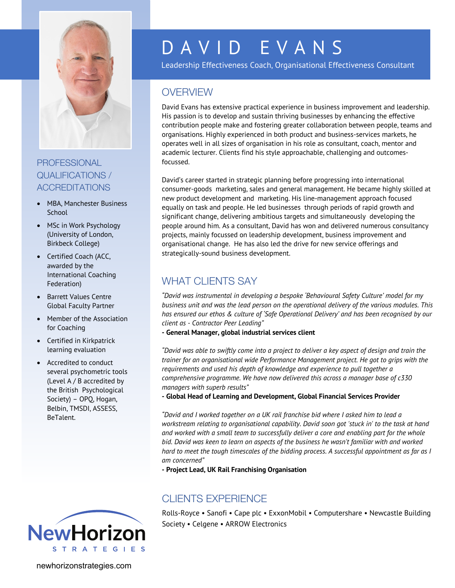

#### **PROFESSIONAL** QUALIFICATIONS / ACCREDITATIONS

- MBA, Manchester Business **School**
- MSc in Work Psychology (University of London, Birkbeck College)
- Certified Coach (ACC, awarded by the International Coaching Federation)
- Barrett Values Centre Global Faculty Partner
- Member of the Association for Coaching
- Certified in Kirkpatrick learning evaluation
- Accredited to conduct several psychometric tools (Level A / B accredited by the British Psychological Society) – OPQ, Hogan, Belbin, TMSDI, ASSESS, BeTalent.



DAVID EVANS

Leadership Effectiveness Coach, Organisational Effectiveness Consultant

## **OVERVIEW**

David Evans has extensive practical experience in business improvement and leadership. His passion is to develop and sustain thriving businesses by enhancing the effective contribution people make and fostering greater collaboration between people, teams and organisations. Highly experienced in both product and business-services markets, he operates well in all sizes of organisation in his role as consultant, coach, mentor and academic lecturer. Clients find his style approachable, challenging and outcomesfocussed.

David's career started in strategic planning before progressing into international consumer-goods marketing, sales and general management. He became highly skilled at new product development and marketing. His line-management approach focused equally on task and people. He led businesses through periods of rapid growth and significant change, delivering ambitious targets and simultaneously developing the people around him. As a consultant, David has won and delivered numerous consultancy projects, mainly focussed on leadership development, business improvement and organisational change. He has also led the drive for new service offerings and strategically-sound business development.

# WHAT CLIENTS SAY

*"David was instrumental in developing a bespoke 'Behavioural Safety Culture' model for my business unit and was the lead person on the operational delivery of the various modules. This has ensured our ethos & culture of 'Safe Operational Delivery' and has been recognised by our client as - Contractor Peer Leading"*

**- General Manager, global industrial services client**

*"David was able to swiftly come into a project to deliver a key aspect of design and train the trainer for an organisational wide Performance Management project. He got to grips with the requirements and used his depth of knowledge and experience to pull together a comprehensive programme. We have now delivered this across a manager base of c330 managers with superb results"*

**- Global Head of Learning and Development, Global Financial Services Provider**

*"David and I worked together on a UK rail franchise bid where I asked him to lead a workstream relating to organisational capability. David soon got 'stuck in' to the task at hand and worked with a small team to successfully deliver a core and enabling part for the whole bid. David was keen to learn on aspects of the business he wasn't familiar with and worked hard to meet the tough timescales of the bidding process. A successful appointment as far as I am concerned"*

**- Project Lead, UK Rail Franchising Organisation**

## CLIENTS EXPERIENCE

Rolls-Royce • Sanofi • Cape plc • ExxonMobil • Computershare • Newcastle Building Society • Celgene • ARROW Electronics